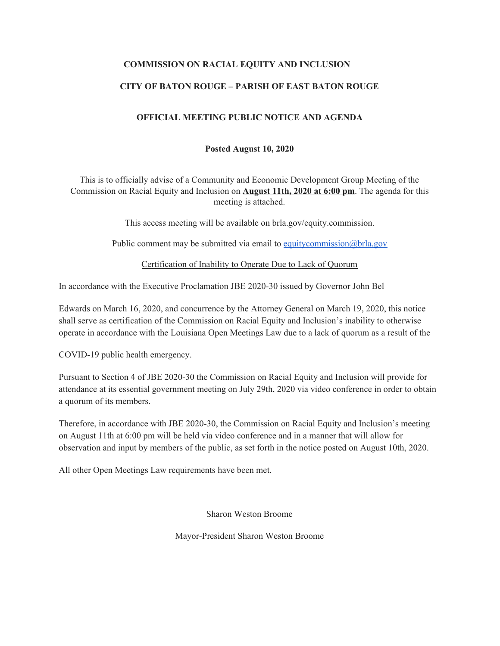## **COMMISSION ON RACIAL EQUITY AND INCLUSION**

## **CITY OF BATON ROUGE – PARISH OF EAST BATON ROUGE**

#### **OFFICIAL MEETING PUBLIC NOTICE AND AGENDA**

#### **Posted August 10, 2020**

This is to officially advise of a Community and Economic Development Group Meeting of the Commission on Racial Equity and Inclusion on **August 11th, 2020 at 6:00 pm**. The agenda for this meeting is attached.

This access meeting will be available on brla.gov/equity.commission.

Public comment may be submitted via email to [equitycommission@brla.gov](mailto:equitycommission@brla.gov)

Certification of Inability to Operate Due to Lack of Quorum

In accordance with the Executive Proclamation JBE 2020-30 issued by Governor John Bel

Edwards on March 16, 2020, and concurrence by the Attorney General on March 19, 2020, this notice shall serve as certification of the Commission on Racial Equity and Inclusion's inability to otherwise operate in accordance with the Louisiana Open Meetings Law due to a lack of quorum as a result of the

COVID-19 public health emergency.

Pursuant to Section 4 of JBE 2020-30 the Commission on Racial Equity and Inclusion will provide for attendance at its essential government meeting on July 29th, 2020 via video conference in order to obtain a quorum of its members.

Therefore, in accordance with JBE 2020-30, the Commission on Racial Equity and Inclusion's meeting on August 11th at 6:00 pm will be held via video conference and in a manner that will allow for observation and input by members of the public, as set forth in the notice posted on August 10th, 2020.

All other Open Meetings Law requirements have been met.

Sharon Weston Broome

Mayor-President Sharon Weston Broome